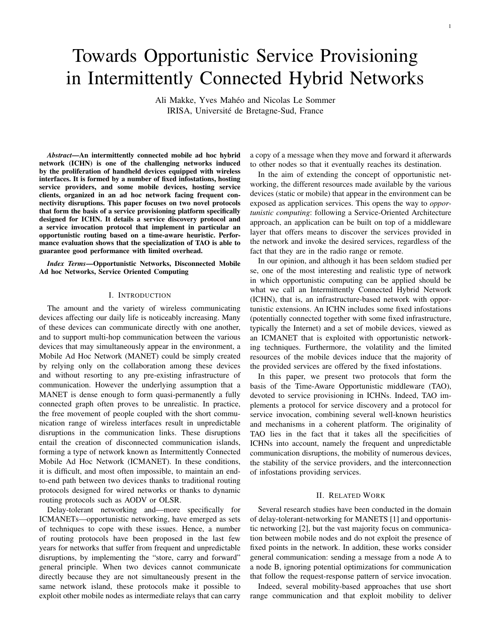# Towards Opportunistic Service Provisioning in Intermittently Connected Hybrid Networks

Ali Makke, Yves Mahéo and Nicolas Le Sommer IRISA, Université de Bretagne-Sud, France

*Abstract*—An intermittently connected mobile ad hoc hybrid network (ICHN) is one of the challenging networks induced by the proliferation of handheld devices equipped with wireless interfaces. It is formed by a number of fixed infostations, hosting service providers, and some mobile devices, hosting service clients, organized in an ad hoc network facing frequent connectivity disruptions. This paper focuses on two novel protocols that form the basis of a service provisioning platform specifically designed for ICHN. It details a service discovery protocol and a service invocation protocol that implement in particular an opportunistic routing based on a time-aware heuristic. Performance evaluation shows that the specialization of TAO is able to guarantee good performance with limited overhead.

*Index Terms*—Opportunistic Networks, Disconnected Mobile Ad hoc Networks, Service Oriented Computing

## I. INTRODUCTION

The amount and the variety of wireless communicating devices affecting our daily life is noticeably increasing. Many of these devices can communicate directly with one another, and to support multi-hop communication between the various devices that may simultaneously appear in the environment, a Mobile Ad Hoc Network (MANET) could be simply created by relying only on the collaboration among these devices and without resorting to any pre-existing infrastructure of communication. However the underlying assumption that a MANET is dense enough to form quasi-permanently a fully connected graph often proves to be unrealistic. In practice, the free movement of people coupled with the short communication range of wireless interfaces result in unpredictable disruptions in the communication links. These disruptions entail the creation of disconnected communication islands, forming a type of network known as Intermittently Connected Mobile Ad Hoc Network (ICMANET). In these conditions, it is difficult, and most often impossible, to maintain an endto-end path between two devices thanks to traditional routing protocols designed for wired networks or thanks to dynamic routing protocols such as AODV or OLSR.

Delay-tolerant networking and—more specifically for ICMANETs—opportunistic networking, have emerged as sets of techniques to cope with these issues. Hence, a number of routing protocols have been proposed in the last few years for networks that suffer from frequent and unpredictable disruptions, by implementing the "store, carry and forward" general principle. When two devices cannot communicate directly because they are not simultaneously present in the same network island, these protocols make it possible to exploit other mobile nodes as intermediate relays that can carry

a copy of a message when they move and forward it afterwards to other nodes so that it eventually reaches its destination.

In the aim of extending the concept of opportunistic networking, the different resources made available by the various devices (static or mobile) that appear in the environment can be exposed as application services. This opens the way to *opportunistic computing*: following a Service-Oriented Architecture approach, an application can be built on top of a middleware layer that offers means to discover the services provided in the network and invoke the desired services, regardless of the fact that they are in the radio range or remote.

In our opinion, and although it has been seldom studied per se, one of the most interesting and realistic type of network in which opportunistic computing can be applied should be what we call an Intermittently Connected Hybrid Network (ICHN), that is, an infrastructure-based network with opportunistic extensions. An ICHN includes some fixed infostations (potentially connected together with some fixed infrastructure, typically the Internet) and a set of mobile devices, viewed as an ICMANET that is exploited with opportunistic networking techniques. Furthermore, the volatility and the limited resources of the mobile devices induce that the majority of the provided services are offered by the fixed infostations.

In this paper, we present two protocols that form the basis of the Time-Aware Opportunistic middleware (TAO), devoted to service provisioning in ICHNs. Indeed, TAO implements a protocol for service discovery and a protocol for service invocation, combining several well-known heuristics and mechanisms in a coherent platform. The originality of TAO lies in the fact that it takes all the specificities of ICHNs into account, namely the frequent and unpredictable communication disruptions, the mobility of numerous devices, the stability of the service providers, and the interconnection of infostations providing services.

#### II. RELATED WORK

Several research studies have been conducted in the domain of delay-tolerant-networking for MANETS [1] and opportunistic networking [2], but the vast majority focus on communication between mobile nodes and do not exploit the presence of fixed points in the network. In addition, these works consider general communication: sending a message from a node A to a node B, ignoring potential optimizations for communication that follow the request-response pattern of service invocation.

Indeed, several mobility-based approaches that use short range communication and that exploit mobility to deliver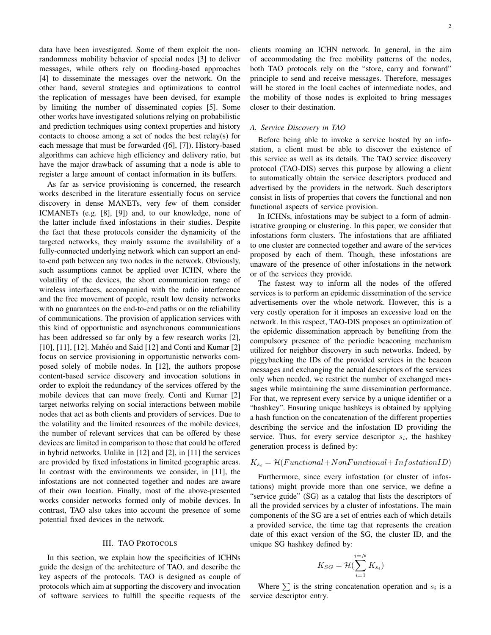data have been investigated. Some of them exploit the nonrandomness mobility behavior of special nodes [3] to deliver messages, while others rely on flooding-based approaches [4] to disseminate the messages over the network. On the other hand, several strategies and optimizations to control the replication of messages have been devised, for example by limiting the number of disseminated copies [5]. Some other works have investigated solutions relying on probabilistic and prediction techniques using context properties and history contacts to choose among a set of nodes the best relay(s) for each message that must be forwarded ([6], [7]). History-based algorithms can achieve high efficiency and delivery ratio, but have the major drawback of assuming that a node is able to register a large amount of contact information in its buffers.

As far as service provisioning is concerned, the research works described in the literature essentially focus on service discovery in dense MANETs, very few of them consider ICMANETs (e.g. [8], [9]) and, to our knowledge, none of the latter include fixed infostations in their studies. Despite the fact that these protocols consider the dynamicity of the targeted networks, they mainly assume the availability of a fully-connected underlying network which can support an endto-end path between any two nodes in the network. Obviously, such assumptions cannot be applied over ICHN, where the volatility of the devices, the short communication range of wireless interfaces, accompanied with the radio interference and the free movement of people, result low density networks with no guarantees on the end-to-end paths or on the reliability of communications. The provision of application services with this kind of opportunistic and asynchronous communications has been addressed so far only by a few research works [2], [10], [11], [12]. Mahéo and Said [12] and Conti and Kumar [2] focus on service provisioning in opportunistic networks composed solely of mobile nodes. In [12], the authors propose content-based service discovery and invocation solutions in order to exploit the redundancy of the services offered by the mobile devices that can move freely. Conti and Kumar [2] target networks relying on social interactions between mobile nodes that act as both clients and providers of services. Due to the volatility and the limited resources of the mobile devices, the number of relevant services that can be offered by these devices are limited in comparison to those that could be offered in hybrid networks. Unlike in [12] and [2], in [11] the services are provided by fixed infostations in limited geographic areas. In contrast with the environments we consider, in [11], the infostations are not connected together and nodes are aware of their own location. Finally, most of the above-presented works consider networks formed only of mobile devices. In contrast, TAO also takes into account the presence of some potential fixed devices in the network.

#### III. TAO PROTOCOLS

In this section, we explain how the specificities of ICHNs guide the design of the architecture of TAO, and describe the key aspects of the protocols. TAO is designed as couple of protocols which aim at supporting the discovery and invocation of software services to fulfill the specific requests of the clients roaming an ICHN network. In general, in the aim of accommodating the free mobility patterns of the nodes, both TAO protocols rely on the "store, carry and forward" principle to send and receive messages. Therefore, messages will be stored in the local caches of intermediate nodes, and the mobility of those nodes is exploited to bring messages closer to their destination.

### *A. Service Discovery in TAO*

Before being able to invoke a service hosted by an infostation, a client must be able to discover the existence of this service as well as its details. The TAO service discovery protocol (TAO-DIS) serves this purpose by allowing a client to automatically obtain the service descriptors produced and advertised by the providers in the network. Such descriptors consist in lists of properties that covers the functional and non functional aspects of service provision.

In ICHNs, infostations may be subject to a form of administrative grouping or clustering. In this paper, we consider that infostations form clusters. The infostations that are affiliated to one cluster are connected together and aware of the services proposed by each of them. Though, these infostations are unaware of the presence of other infostations in the network or of the services they provide.

The fastest way to inform all the nodes of the offered services is to perform an epidemic dissemination of the service advertisements over the whole network. However, this is a very costly operation for it imposes an excessive load on the network. In this respect, TAO-DIS proposes an optimization of the epidemic dissemination approach by benefiting from the compulsory presence of the periodic beaconing mechanism utilized for neighbor discovery in such networks. Indeed, by piggybacking the IDs of the provided services in the beacon messages and exchanging the actual descriptors of the services only when needed, we restrict the number of exchanged messages while maintaining the same dissemination performance. For that, we represent every service by a unique identifier or a "hashkey". Ensuring unique hashkeys is obtained by applying a hash function on the concatenation of the different properties describing the service and the infostation ID providing the service. Thus, for every service descriptor  $s_i$ , the hashkey generation process is defined by:

# $K_{s_i} = \mathcal{H}(Functional + NonFunctional + InformationID)$

Furthermore, since every infostation (or cluster of infostations) might provide more than one service, we define a "service guide" (SG) as a catalog that lists the descriptors of all the provided services by a cluster of infostations. The main components of the SG are a set of entries each of which details a provided service, the time tag that represents the creation date of this exact version of the SG, the cluster ID, and the unique SG hashkey defined by:

$$
K_{SG} = \mathcal{H}(\sum_{i=1}^{i=N} K_{s_i})
$$

Where  $\sum$  is the string concatenation operation and  $s_i$  is a service descriptor entry.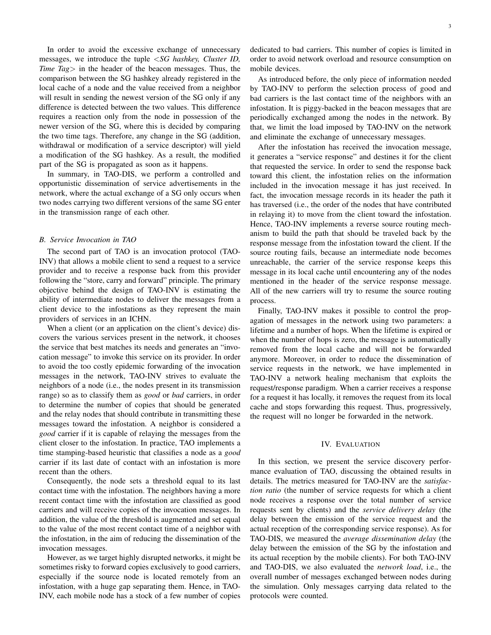In order to avoid the excessive exchange of unnecessary messages, we introduce the tuple <*SG hashkey, Cluster ID, Time Tag*> in the header of the beacon messages. Thus, the comparison between the SG hashkey already registered in the local cache of a node and the value received from a neighbor will result in sending the newest version of the SG only if any difference is detected between the two values. This difference requires a reaction only from the node in possession of the newer version of the SG, where this is decided by comparing the two time tags. Therefore, any change in the SG (addition, withdrawal or modification of a service descriptor) will yield a modification of the SG hashkey. As a result, the modified part of the SG is propagated as soon as it happens.

In summary, in TAO-DIS, we perform a controlled and opportunistic dissemination of service advertisements in the network, where the actual exchange of a SG only occurs when two nodes carrying two different versions of the same SG enter in the transmission range of each other.

## *B. Service Invocation in TAO*

The second part of TAO is an invocation protocol (TAO-INV) that allows a mobile client to send a request to a service provider and to receive a response back from this provider following the "store, carry and forward" principle. The primary objective behind the design of TAO-INV is estimating the ability of intermediate nodes to deliver the messages from a client device to the infostations as they represent the main providers of services in an ICHN.

When a client (or an application on the client's device) discovers the various services present in the network, it chooses the service that best matches its needs and generates an "invocation message" to invoke this service on its provider. In order to avoid the too costly epidemic forwarding of the invocation messages in the network, TAO-INV strives to evaluate the neighbors of a node (i.e., the nodes present in its transmission range) so as to classify them as *good* or *bad* carriers, in order to determine the number of copies that should be generated and the relay nodes that should contribute in transmitting these messages toward the infostation. A neighbor is considered a *good* carrier if it is capable of relaying the messages from the client closer to the infostation. In practice, TAO implements a time stamping-based heuristic that classifies a node as a *good* carrier if its last date of contact with an infostation is more recent than the others.

Consequently, the node sets a threshold equal to its last contact time with the infostation. The neighbors having a more recent contact time with the infostation are classified as good carriers and will receive copies of the invocation messages. In addition, the value of the threshold is augmented and set equal to the value of the most recent contact time of a neighbor with the infostation, in the aim of reducing the dissemination of the invocation messages.

However, as we target highly disrupted networks, it might be sometimes risky to forward copies exclusively to good carriers, especially if the source node is located remotely from an infostation, with a huge gap separating them. Hence, in TAO-INV, each mobile node has a stock of a few number of copies dedicated to bad carriers. This number of copies is limited in order to avoid network overload and resource consumption on mobile devices.

As introduced before, the only piece of information needed by TAO-INV to perform the selection process of good and bad carriers is the last contact time of the neighbors with an infostation. It is piggy-backed in the beacon messages that are periodically exchanged among the nodes in the network. By that, we limit the load imposed by TAO-INV on the network and eliminate the exchange of unnecessary messages.

After the infostation has received the invocation message, it generates a "service response" and destines it for the client that requested the service. In order to send the response back toward this client, the infostation relies on the information included in the invocation message it has just received. In fact, the invocation message records in its header the path it has traversed (i.e., the order of the nodes that have contributed in relaying it) to move from the client toward the infostation. Hence, TAO-INV implements a reverse source routing mechanism to build the path that should be traveled back by the response message from the infostation toward the client. If the source routing fails, because an intermediate node becomes unreachable, the carrier of the service response keeps this message in its local cache until encountering any of the nodes mentioned in the header of the service response message. All of the new carriers will try to resume the source routing process.

Finally, TAO-INV makes it possible to control the propagation of messages in the network using two parameters: a lifetime and a number of hops. When the lifetime is expired or when the number of hops is zero, the message is automatically removed from the local cache and will not be forwarded anymore. Moreover, in order to reduce the dissemination of service requests in the network, we have implemented in TAO-INV a network healing mechanism that exploits the request/response paradigm. When a carrier receives a response for a request it has locally, it removes the request from its local cache and stops forwarding this request. Thus, progressively, the request will no longer be forwarded in the network.

## IV. EVALUATION

In this section, we present the service discovery performance evaluation of TAO, discussing the obtained results in details. The metrics measured for TAO-INV are the *satisfaction ratio* (the number of service requests for which a client node receives a response over the total number of service requests sent by clients) and the *service delivery delay* (the delay between the emission of the service request and the actual reception of the corresponding service response). As for TAO-DIS, we measured the *average dissemination delay* (the delay between the emission of the SG by the infostation and its actual reception by the mobile clients). For both TAO-INV and TAO-DIS, we also evaluated the *network load*, i.e., the overall number of messages exchanged between nodes during the simulation. Only messages carrying data related to the protocols were counted.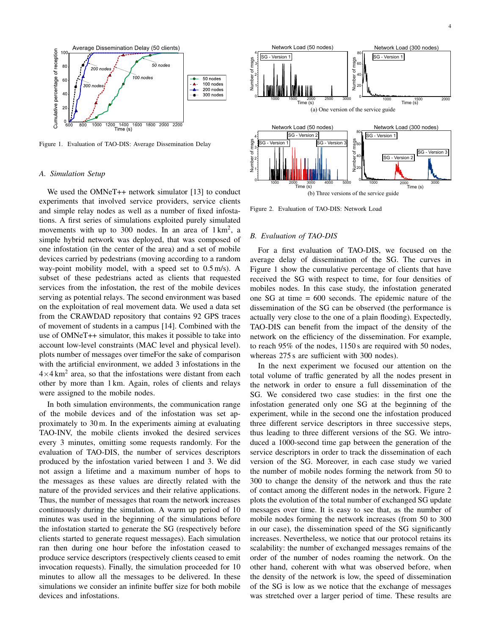

Figure 1. Evaluation of TAO-DIS: Average Dissemination Delay

### *A. Simulation Setup*

We used the OMNeT++ network simulator [13] to conduct experiments that involved service providers, service clients and simple relay nodes as well as a number of fixed infostations. A first series of simulations exploited purely simulated movements with up to 300 nodes. In an area of  $1 \text{ km}^2$ , a simple hybrid network was deployed, that was composed of one infostation (in the center of the area) and a set of mobile devices carried by pedestrians (moving according to a random way-point mobility model, with a speed set to 0.5 m/s). A subset of these pedestrians acted as clients that requested services from the infostation, the rest of the mobile devices serving as potential relays. The second environment was based on the exploitation of real movement data. We used a data set from the CRAWDAD repository that contains 92 GPS traces of movement of students in a campus [14]. Combined with the use of OMNeT++ simulator, this makes it possible to take into account low-level constraints (MAC level and physical level). plots number of messages over timeFor the sake of comparison with the artificial environment, we added 3 infostations in the  $4\times4$  km<sup>2</sup> area, so that the infostations were distant from each other by more than 1 km. Again, roles of clients and relays were assigned to the mobile nodes.

In both simulation environments, the communication range of the mobile devices and of the infostation was set approximately to 30 m. In the experiments aiming at evaluating TAO-INV, the mobile clients invoked the desired services every 3 minutes, omitting some requests randomly. For the evaluation of TAO-DIS, the number of services descriptors produced by the infostation varied between 1 and 3. We did not assign a lifetime and a maximum number of hops to the messages as these values are directly related with the nature of the provided services and their relative applications. Thus, the number of messages that roam the network increases continuously during the simulation. A warm up period of 10 minutes was used in the beginning of the simulations before the infostation started to generate the SG (respectively before clients started to generate request messages). Each simulation ran then during one hour before the infostation ceased to produce service descriptors (respectively clients ceased to emit invocation requests). Finally, the simulation proceeded for 10 minutes to allow all the messages to be delivered. In these simulations we consider an infinite buffer size for both mobile devices and infostations.



Figure 2. Evaluation of TAO-DIS: Network Load

#### *B. Evaluation of TAO-DIS*

For a first evaluation of TAO-DIS, we focused on the average delay of dissemination of the SG. The curves in Figure 1 show the cumulative percentage of clients that have received the SG with respect to time, for four densities of mobiles nodes. In this case study, the infostation generated one SG at time = 600 seconds. The epidemic nature of the dissemination of the SG can be observed (the performance is actually very close to the one of a plain flooding). Expectedly, TAO-DIS can benefit from the impact of the density of the network on the efficiency of the dissemination. For example, to reach 95% of the nodes, 1150 s are required with 50 nodes, whereas 275 s are sufficient with 300 nodes).

In the next experiment we focused our attention on the total volume of traffic generated by all the nodes present in the network in order to ensure a full dissemination of the SG. We considered two case studies: in the first one the infostation generated only one SG at the beginning of the experiment, while in the second one the infostation produced three different service descriptors in three successive steps, thus leading to three different versions of the SG. We introduced a 1000-second time gap between the generation of the service descriptors in order to track the dissemination of each version of the SG. Moreover, in each case study we varied the number of mobile nodes forming the network from 50 to 300 to change the density of the network and thus the rate of contact among the different nodes in the network. Figure 2 plots the evolution of the total number of exchanged SG update messages over time. It is easy to see that, as the number of mobile nodes forming the network increases (from 50 to 300 in our case), the dissemination speed of the SG significantly increases. Nevertheless, we notice that our protocol retains its scalability: the number of exchanged messages remains of the order of the number of nodes roaming the network. On the other hand, coherent with what was observed before, when the density of the network is low, the speed of dissemination of the SG is low as we notice that the exchange of messages was stretched over a larger period of time. These results are